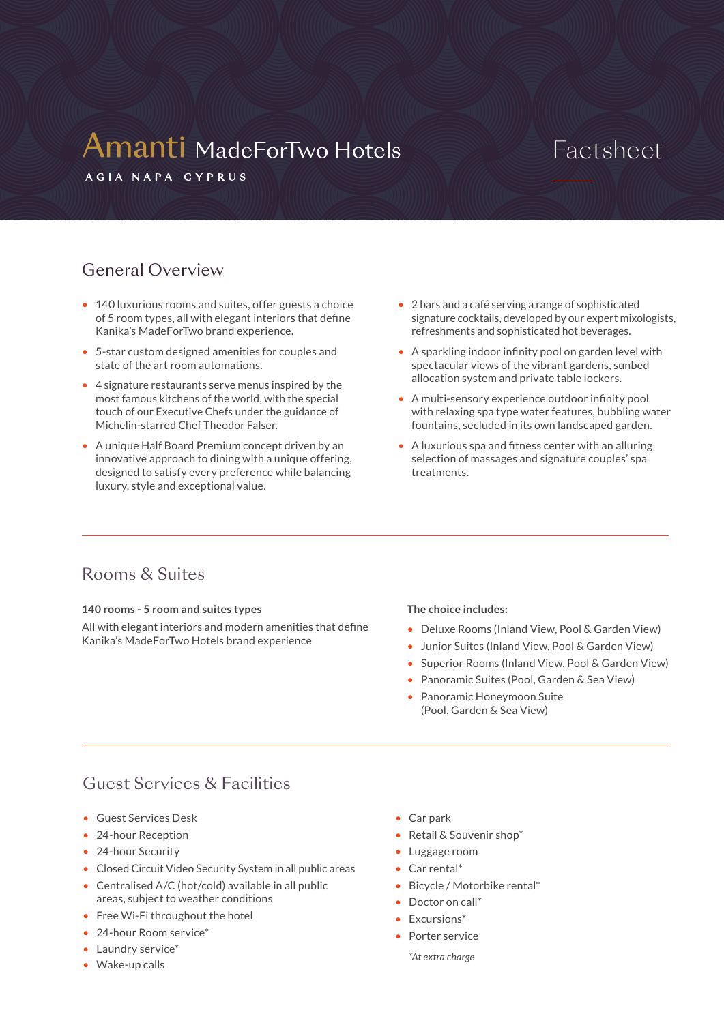# **Amanti MadeForTwo Hotels**

## Factsheet

AGIA NAPA-CYPRUS

## General Overview

- 140 luxurious rooms and suites, offer guests a choice of 5 room types, all with elegant interiors that define Kanika's MadeForTwo brand experience.
- 5-star custom designed amenities for couples and state of the art room automations.
- 4 signature restaurants serve menus inspired by the most famous kitchens of the world, with the special touch of our Executive Chefs under the guidance of Michelin-starred Chef Theodor Falser.
- A unique Half Board Premium concept driven by an innovative approach to dining with a unique offering, designed to satisfy every preference while balancing luxury, style and exceptional value.
- 2 bars and a café serving a range of sophisticated signature cocktails, developed by our expert mixologists, refreshments and sophisticated hot beverages.
- A sparkling indoor infinity pool on garden level with spectacular views of the vibrant gardens, sunbed allocation system and private table lockers.
- A multi-sensory experience outdoor infinity pool with relaxing spa type water features, bubbling water fountains, secluded in its own landscaped garden.
- A luxurious spa and fitness center with an alluring selection of massages and signature couples' spa treatments.

## Rooms & Suites

#### **140 rooms - 5 room and suites types**

All with elegant interiors and modern amenities that define Kanika's MadeForTwo Hotels brand experience

#### **The choice includes:**

- Deluxe Rooms (Inland View, Pool & Garden View)
- Junior Suites (Inland View, Pool & Garden View)
- Superior Rooms (Inland View, Pool & Garden View)
- Panoramic Suites (Pool, Garden & Sea View)
- Panoramic Honeymoon Suite (Pool, Garden & Sea View)

## Guest Services & Facilities

- Guest Services Desk
- 24-hour Reception
- 24-hour Security
- Closed Circuit Video Security System in all public areas
- Centralised A/C (hot/cold) available in all public areas, subject to weather conditions
- Free Wi-Fi throughout the hotel
- 24-hour Room service\*
- Laundry service\*
- Wake-up calls
- Car park
- Retail & Souvenir shop\*
- Luggage room
- Car rental\*
- Bicycle / Motorbike rental\*
- Doctor on call\*
- Excursions\*
- Porter service
	- *\*At extra charge*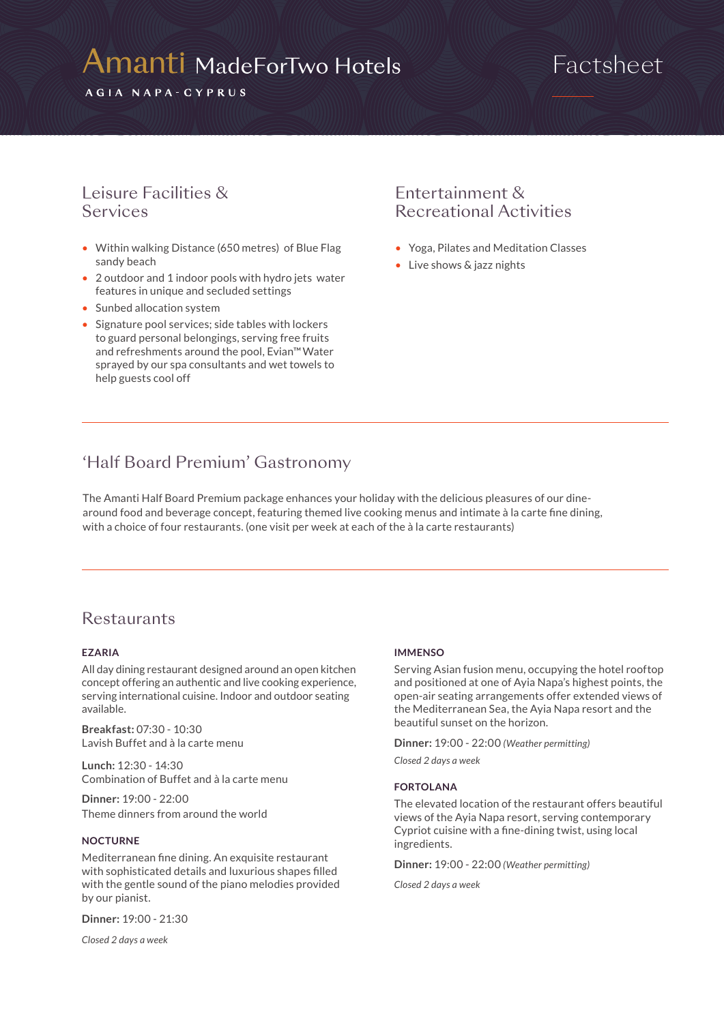# **Amanti MadeForTwo Hotels**

AGIA NAPA-CYPRUS

## Factsheet

### Leisure Facilities & Services

- Within walking Distance (650 metres) of Blue Flag sandy beach
- 2 outdoor and 1 indoor pools with hydro jets water features in unique and secluded settings
- Sunbed allocation system
- Signature pool services; side tables with lockers to guard personal belongings, serving free fruits and refreshments around the pool, Evian™Water sprayed by our spa consultants and wet towels to help guests cool off

## Entertainment & Recreational Activities

- Yoga, Pilates and Meditation Classes
- Live shows & jazz nights

## 'Half Board Premium' Gastronomy

The Amanti Half Board Premium package enhances your holiday with the delicious pleasures of our dinearound food and beverage concept, featuring themed live cooking menus and intimate à la carte fine dining, with a choice of four restaurants. (one visit per week at each of the à la carte restaurants)

### **Restaurants**

#### **EZARIA**

All day dining restaurant designed around an open kitchen concept offering an authentic and live cooking experience, serving international cuisine. Indoor and outdoor seating available.

**Breakfast:** 07:30 - 10:30 Lavish Buffet and à la carte menu

**Lunch:** 12:30 - 14:30 Combination of Buffet and à la carte menu

**Dinner:** 19:00 - 22:00 Theme dinners from around the world

#### **NOCTURNE**

Mediterranean fine dining. An exquisite restaurant with sophisticated details and luxurious shapes filled with the gentle sound of the piano melodies provided by our pianist.

**Dinner:** 19:00 - 21:30

*Closed 2 days a week*

#### **IMMENSO**

Serving Asian fusion menu, occupying the hotel rooftop and positioned at one of Ayia Napa's highest points, the open-air seating arrangements offer extended views of the Mediterranean Sea, the Ayia Napa resort and the beautiful sunset on the horizon.

**Dinner:** 19:00 - 22:00 *(Weather permitting)*

*Closed 2 days a week*

#### **FORTOLANA**

The elevated location of the restaurant offers beautiful views of the Ayia Napa resort, serving contemporary Cypriot cuisine with a fine-dining twist, using local ingredients.

**Dinner:** 19:00 - 22:00 *(Weather permitting)*

*Closed 2 days a week*